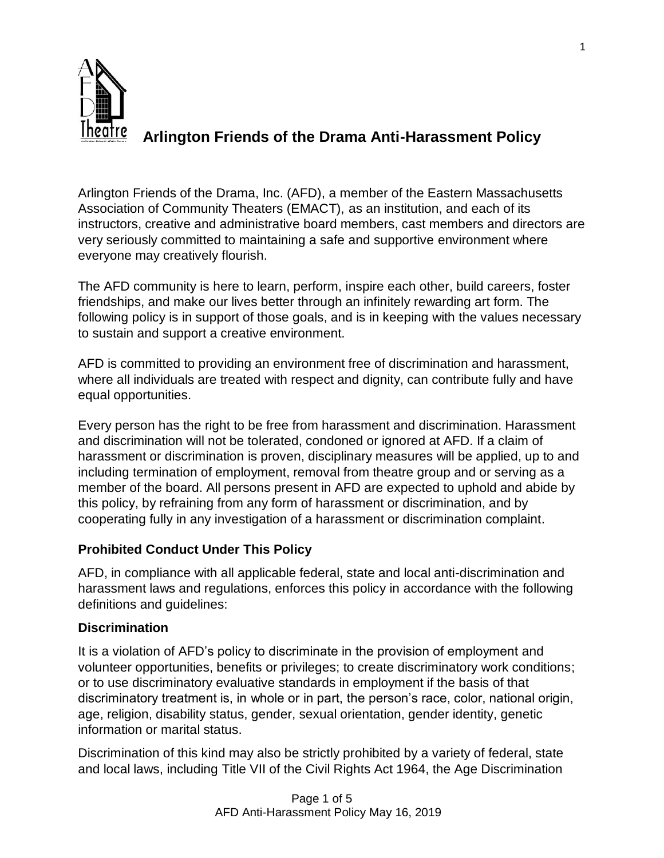

Arlington Friends of the Drama, Inc. (AFD), a member of the Eastern Massachusetts Association of Community Theaters (EMACT), as an institution, and each of its instructors, creative and administrative board members, cast members and directors are very seriously committed to maintaining a safe and supportive environment where everyone may creatively flourish.

The AFD community is here to learn, perform, inspire each other, build careers, foster friendships, and make our lives better through an infinitely rewarding art form. The following policy is in support of those goals, and is in keeping with the values necessary to sustain and support a creative environment.

AFD is committed to providing an environment free of discrimination and harassment, where all individuals are treated with respect and dignity, can contribute fully and have equal opportunities.

Every person has the right to be free from harassment and discrimination. Harassment and discrimination will not be tolerated, condoned or ignored at AFD. If a claim of harassment or discrimination is proven, disciplinary measures will be applied, up to and including termination of employment, removal from theatre group and or serving as a member of the board. All persons present in AFD are expected to uphold and abide by this policy, by refraining from any form of harassment or discrimination, and by cooperating fully in any investigation of a harassment or discrimination complaint.

## **Prohibited Conduct Under This Policy**

AFD, in compliance with all applicable federal, state and local anti-discrimination and harassment laws and regulations, enforces this policy in accordance with the following definitions and guidelines:

## **Discrimination**

It is a violation of AFD's policy to discriminate in the provision of employment and volunteer opportunities, benefits or privileges; to create discriminatory work conditions; or to use discriminatory evaluative standards in employment if the basis of that discriminatory treatment is, in whole or in part, the person's race, color, national origin, age, religion, disability status, gender, sexual orientation, gender identity, genetic information or marital status.

Discrimination of this kind may also be strictly prohibited by a variety of federal, state and local laws, including Title VII of the Civil Rights Act 1964, the Age Discrimination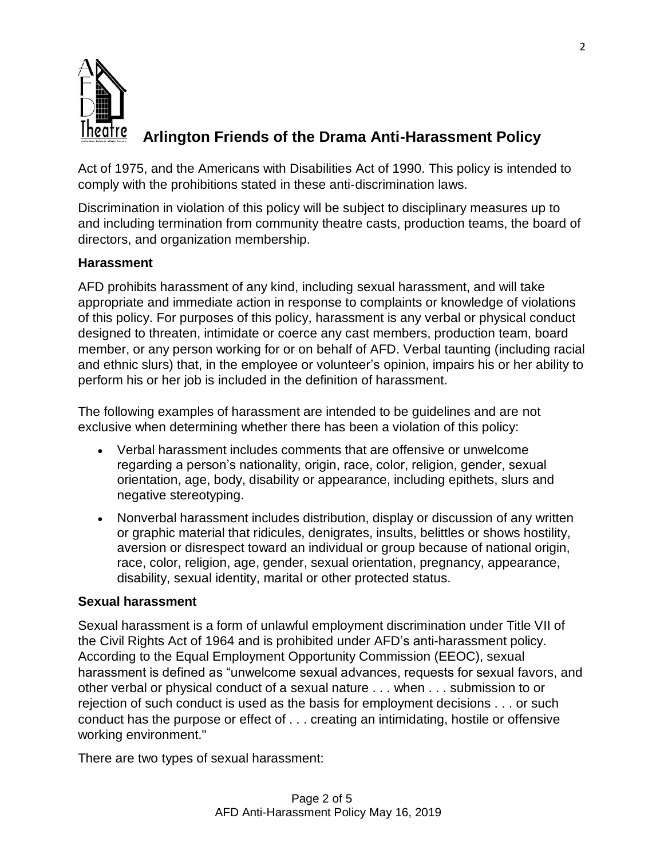

Act of 1975, and the Americans with Disabilities Act of 1990. This policy is intended to comply with the prohibitions stated in these anti-discrimination laws.

Discrimination in violation of this policy will be subject to disciplinary measures up to and including termination from community theatre casts, production teams, the board of directors, and organization membership.

## **Harassment**

AFD prohibits harassment of any kind, including sexual harassment, and will take appropriate and immediate action in response to complaints or knowledge of violations of this policy. For purposes of this policy, harassment is any verbal or physical conduct designed to threaten, intimidate or coerce any cast members, production team, board member, or any person working for or on behalf of AFD. Verbal taunting (including racial and ethnic slurs) that, in the employee or volunteer's opinion, impairs his or her ability to perform his or her job is included in the definition of harassment.

The following examples of harassment are intended to be guidelines and are not exclusive when determining whether there has been a violation of this policy:

- Verbal harassment includes comments that are offensive or unwelcome regarding a person's nationality, origin, race, color, religion, gender, sexual orientation, age, body, disability or appearance, including epithets, slurs and negative stereotyping.
- Nonverbal harassment includes distribution, display or discussion of any written or graphic material that ridicules, denigrates, insults, belittles or shows hostility, aversion or disrespect toward an individual or group because of national origin, race, color, religion, age, gender, sexual orientation, pregnancy, appearance, disability, sexual identity, marital or other protected status.

#### **Sexual harassment**

Sexual harassment is a form of unlawful employment discrimination under Title VII of the Civil Rights Act of 1964 and is prohibited under AFD's anti-harassment policy. According to the Equal Employment Opportunity Commission (EEOC), sexual harassment is defined as "unwelcome sexual advances, requests for sexual favors, and other verbal or physical conduct of a sexual nature . . . when . . . submission to or rejection of such conduct is used as the basis for employment decisions . . . or such conduct has the purpose or effect of . . . creating an intimidating, hostile or offensive working environment."

There are two types of sexual harassment: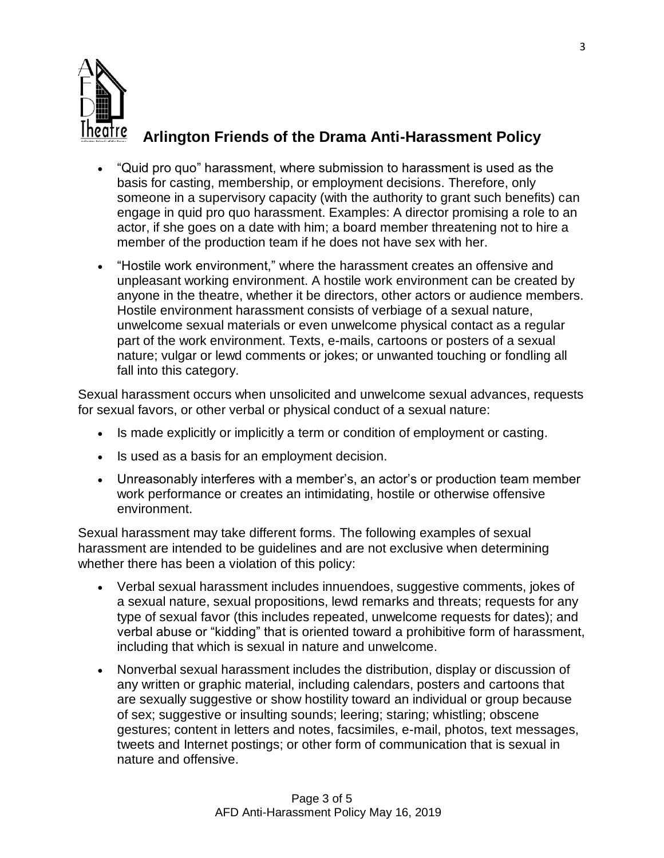

- "Quid pro quo" harassment, where submission to harassment is used as the basis for casting, membership, or employment decisions. Therefore, only someone in a supervisory capacity (with the authority to grant such benefits) can engage in quid pro quo harassment. Examples: A director promising a role to an actor, if she goes on a date with him; a board member threatening not to hire a member of the production team if he does not have sex with her.
- "Hostile work environment," where the harassment creates an offensive and unpleasant working environment. A hostile work environment can be created by anyone in the theatre, whether it be directors, other actors or audience members. Hostile environment harassment consists of verbiage of a sexual nature, unwelcome sexual materials or even unwelcome physical contact as a regular part of the work environment. Texts, e-mails, cartoons or posters of a sexual nature; vulgar or lewd comments or jokes; or unwanted touching or fondling all fall into this category.

Sexual harassment occurs when unsolicited and unwelcome sexual advances, requests for sexual favors, or other verbal or physical conduct of a sexual nature:

- Is made explicitly or implicitly a term or condition of employment or casting.
- Is used as a basis for an employment decision.
- Unreasonably interferes with a member's, an actor's or production team member work performance or creates an intimidating, hostile or otherwise offensive environment.

Sexual harassment may take different forms. The following examples of sexual harassment are intended to be guidelines and are not exclusive when determining whether there has been a violation of this policy:

- Verbal sexual harassment includes innuendoes, suggestive comments, jokes of a sexual nature, sexual propositions, lewd remarks and threats; requests for any type of sexual favor (this includes repeated, unwelcome requests for dates); and verbal abuse or "kidding" that is oriented toward a prohibitive form of harassment, including that which is sexual in nature and unwelcome.
- Nonverbal sexual harassment includes the distribution, display or discussion of any written or graphic material, including calendars, posters and cartoons that are sexually suggestive or show hostility toward an individual or group because of sex; suggestive or insulting sounds; leering; staring; whistling; obscene gestures; content in letters and notes, facsimiles, e-mail, photos, text messages, tweets and Internet postings; or other form of communication that is sexual in nature and offensive.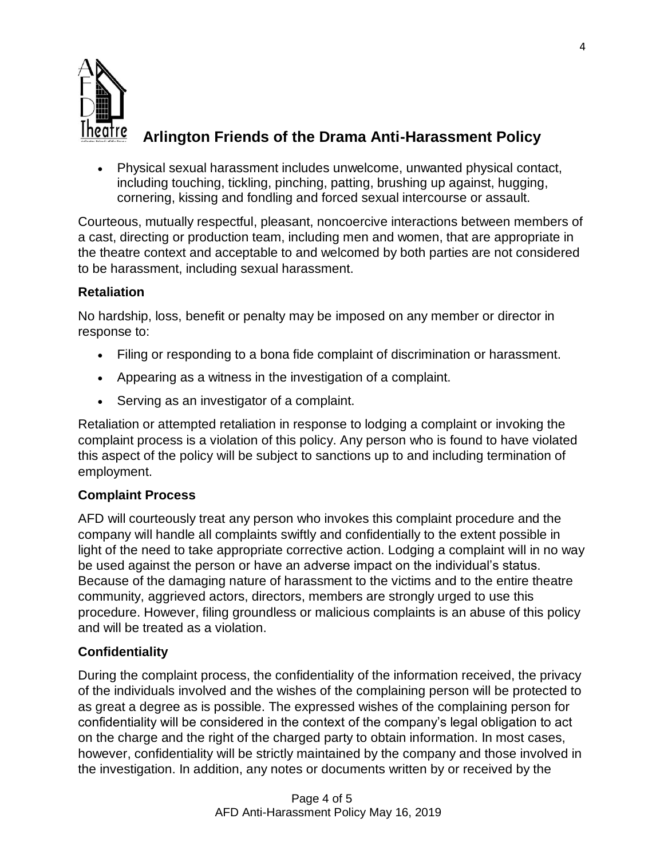

• Physical sexual harassment includes unwelcome, unwanted physical contact, including touching, tickling, pinching, patting, brushing up against, hugging, cornering, kissing and fondling and forced sexual intercourse or assault.

Courteous, mutually respectful, pleasant, noncoercive interactions between members of a cast, directing or production team, including men and women, that are appropriate in the theatre context and acceptable to and welcomed by both parties are not considered to be harassment, including sexual harassment.

# **Retaliation**

No hardship, loss, benefit or penalty may be imposed on any member or director in response to:

- Filing or responding to a bona fide complaint of discrimination or harassment.
- Appearing as a witness in the investigation of a complaint.
- Serving as an investigator of a complaint.

Retaliation or attempted retaliation in response to lodging a complaint or invoking the complaint process is a violation of this policy. Any person who is found to have violated this aspect of the policy will be subject to sanctions up to and including termination of employment.

# **Complaint Process**

AFD will courteously treat any person who invokes this complaint procedure and the company will handle all complaints swiftly and confidentially to the extent possible in light of the need to take appropriate corrective action. Lodging a complaint will in no way be used against the person or have an adverse impact on the individual's status. Because of the damaging nature of harassment to the victims and to the entire theatre community, aggrieved actors, directors, members are strongly urged to use this procedure. However, filing groundless or malicious complaints is an abuse of this policy and will be treated as a violation.

## **Confidentiality**

During the complaint process, the confidentiality of the information received, the privacy of the individuals involved and the wishes of the complaining person will be protected to as great a degree as is possible. The expressed wishes of the complaining person for confidentiality will be considered in the context of the company's legal obligation to act on the charge and the right of the charged party to obtain information. In most cases, however, confidentiality will be strictly maintained by the company and those involved in the investigation. In addition, any notes or documents written by or received by the